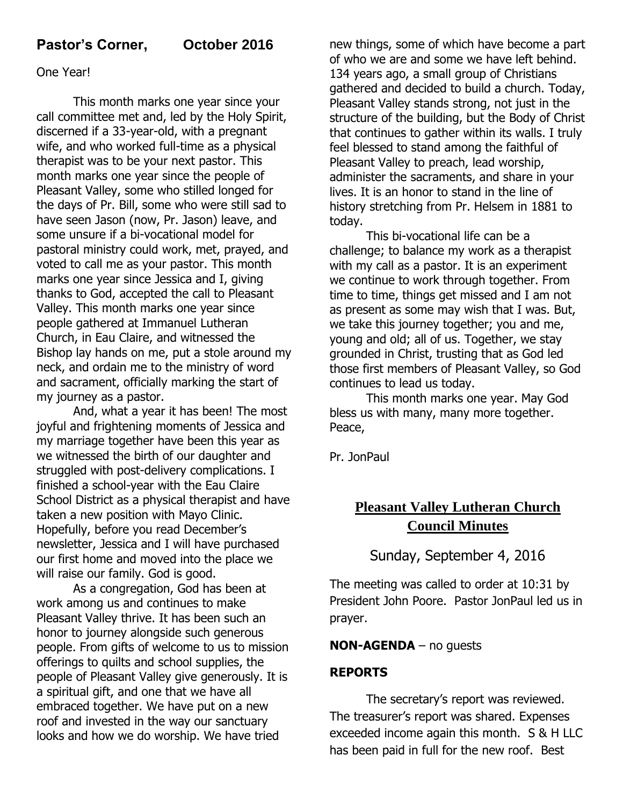### **Pastor's Corner, October 2016**

#### One Year!

This month marks one year since your call committee met and, led by the Holy Spirit, discerned if a 33-year-old, with a pregnant wife, and who worked full-time as a physical therapist was to be your next pastor. This month marks one year since the people of Pleasant Valley, some who stilled longed for the days of Pr. Bill, some who were still sad to have seen Jason (now, Pr. Jason) leave, and some unsure if a bi-vocational model for pastoral ministry could work, met, prayed, and voted to call me as your pastor. This month marks one year since Jessica and I, giving thanks to God, accepted the call to Pleasant Valley. This month marks one year since people gathered at Immanuel Lutheran Church, in Eau Claire, and witnessed the Bishop lay hands on me, put a stole around my neck, and ordain me to the ministry of word and sacrament, officially marking the start of my journey as a pastor.

And, what a year it has been! The most joyful and frightening moments of Jessica and my marriage together have been this year as we witnessed the birth of our daughter and struggled with post-delivery complications. I finished a school-year with the Eau Claire School District as a physical therapist and have taken a new position with Mayo Clinic. Hopefully, before you read December's newsletter, Jessica and I will have purchased our first home and moved into the place we will raise our family. God is good.

As a congregation, God has been at work among us and continues to make Pleasant Valley thrive. It has been such an honor to journey alongside such generous people. From gifts of welcome to us to mission offerings to quilts and school supplies, the people of Pleasant Valley give generously. It is a spiritual gift, and one that we have all embraced together. We have put on a new roof and invested in the way our sanctuary looks and how we do worship. We have tried

new things, some of which have become a part of who we are and some we have left behind. 134 years ago, a small group of Christians gathered and decided to build a church. Today, Pleasant Valley stands strong, not just in the structure of the building, but the Body of Christ that continues to gather within its walls. I truly feel blessed to stand among the faithful of Pleasant Valley to preach, lead worship, administer the sacraments, and share in your lives. It is an honor to stand in the line of history stretching from Pr. Helsem in 1881 to today.

This bi-vocational life can be a challenge; to balance my work as a therapist with my call as a pastor. It is an experiment we continue to work through together. From time to time, things get missed and I am not as present as some may wish that I was. But, we take this journey together; you and me, young and old; all of us. Together, we stay grounded in Christ, trusting that as God led those first members of Pleasant Valley, so God continues to lead us today.

This month marks one year. May God bless us with many, many more together. Peace,

Pr. JonPaul

# **Pleasant Valley Lutheran Church Council Minutes**

Sunday, September 4, 2016

The meeting was called to order at 10:31 by President John Poore. Pastor JonPaul led us in prayer.

#### **NON-AGENDA** – no guests

#### **REPORTS**

The secretary's report was reviewed. The treasurer's report was shared. Expenses exceeded income again this month. S & H LLC has been paid in full for the new roof. Best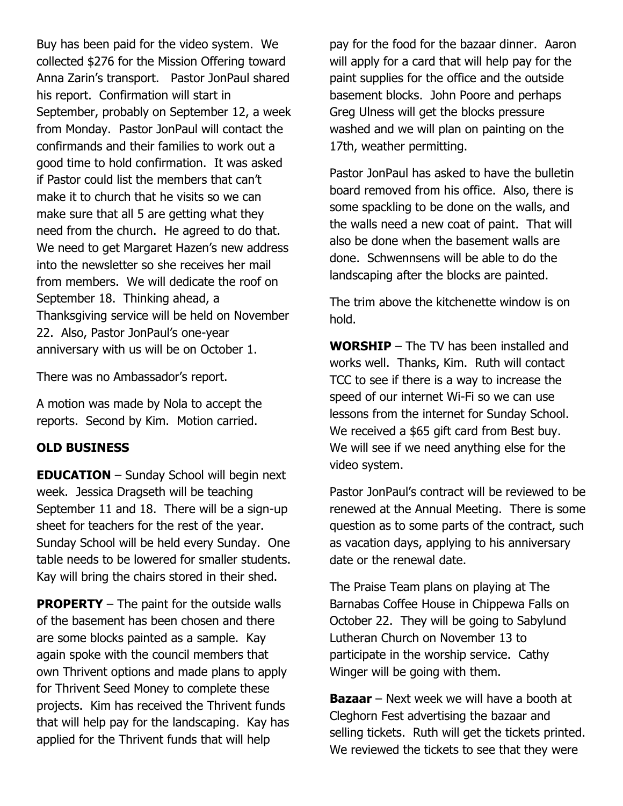Buy has been paid for the video system. We collected \$276 for the Mission Offering toward Anna Zarin's transport. Pastor JonPaul shared his report. Confirmation will start in September, probably on September 12, a week from Monday. Pastor JonPaul will contact the confirmands and their families to work out a good time to hold confirmation. It was asked if Pastor could list the members that can't make it to church that he visits so we can make sure that all 5 are getting what they need from the church. He agreed to do that. We need to get Margaret Hazen's new address into the newsletter so she receives her mail from members. We will dedicate the roof on September 18. Thinking ahead, a Thanksgiving service will be held on November 22. Also, Pastor JonPaul's one-year anniversary with us will be on October 1.

There was no Ambassador's report.

A motion was made by Nola to accept the reports. Second by Kim. Motion carried.

#### **OLD BUSINESS**

**EDUCATION** – Sunday School will begin next week. Jessica Dragseth will be teaching September 11 and 18. There will be a sign-up sheet for teachers for the rest of the year. Sunday School will be held every Sunday. One table needs to be lowered for smaller students. Kay will bring the chairs stored in their shed.

**PROPERTY** – The paint for the outside walls of the basement has been chosen and there are some blocks painted as a sample. Kay again spoke with the council members that own Thrivent options and made plans to apply for Thrivent Seed Money to complete these projects. Kim has received the Thrivent funds that will help pay for the landscaping. Kay has applied for the Thrivent funds that will help

pay for the food for the bazaar dinner. Aaron will apply for a card that will help pay for the paint supplies for the office and the outside basement blocks. John Poore and perhaps Greg Ulness will get the blocks pressure washed and we will plan on painting on the 17th, weather permitting.

Pastor JonPaul has asked to have the bulletin board removed from his office. Also, there is some spackling to be done on the walls, and the walls need a new coat of paint. That will also be done when the basement walls are done. Schwennsens will be able to do the landscaping after the blocks are painted.

The trim above the kitchenette window is on hold.

**WORSHIP** – The TV has been installed and works well. Thanks, Kim. Ruth will contact TCC to see if there is a way to increase the speed of our internet Wi-Fi so we can use lessons from the internet for Sunday School. We received a \$65 gift card from Best buy. We will see if we need anything else for the video system.

Pastor JonPaul's contract will be reviewed to be renewed at the Annual Meeting. There is some question as to some parts of the contract, such as vacation days, applying to his anniversary date or the renewal date.

The Praise Team plans on playing at The Barnabas Coffee House in Chippewa Falls on October 22. They will be going to Sabylund Lutheran Church on November 13 to participate in the worship service. Cathy Winger will be going with them.

**Bazaar** – Next week we will have a booth at Cleghorn Fest advertising the bazaar and selling tickets. Ruth will get the tickets printed. We reviewed the tickets to see that they were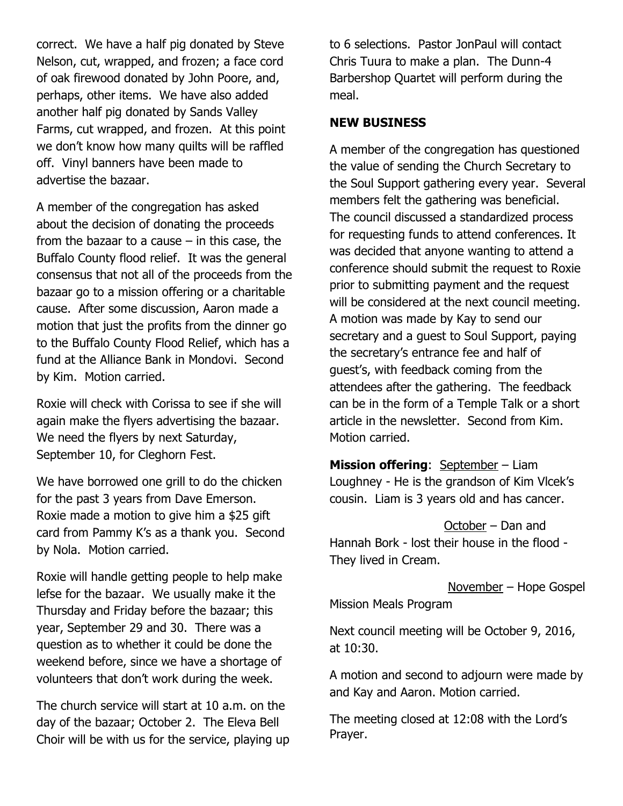correct. We have a half pig donated by Steve Nelson, cut, wrapped, and frozen; a face cord of oak firewood donated by John Poore, and, perhaps, other items. We have also added another half pig donated by Sands Valley Farms, cut wrapped, and frozen. At this point we don't know how many quilts will be raffled off. Vinyl banners have been made to advertise the bazaar.

A member of the congregation has asked about the decision of donating the proceeds from the bazaar to a cause  $-$  in this case, the Buffalo County flood relief. It was the general consensus that not all of the proceeds from the bazaar go to a mission offering or a charitable cause. After some discussion, Aaron made a motion that just the profits from the dinner go to the Buffalo County Flood Relief, which has a fund at the Alliance Bank in Mondovi. Second by Kim. Motion carried.

Roxie will check with Corissa to see if she will again make the flyers advertising the bazaar. We need the flyers by next Saturday, September 10, for Cleghorn Fest.

We have borrowed one grill to do the chicken for the past 3 years from Dave Emerson. Roxie made a motion to give him a \$25 gift card from Pammy K's as a thank you. Second by Nola. Motion carried.

Roxie will handle getting people to help make lefse for the bazaar. We usually make it the Thursday and Friday before the bazaar; this year, September 29 and 30. There was a question as to whether it could be done the weekend before, since we have a shortage of volunteers that don't work during the week.

The church service will start at 10 a.m. on the day of the bazaar; October 2. The Eleva Bell Choir will be with us for the service, playing up to 6 selections. Pastor JonPaul will contact Chris Tuura to make a plan. The Dunn-4 Barbershop Quartet will perform during the meal.

#### **NEW BUSINESS**

A member of the congregation has questioned the value of sending the Church Secretary to the Soul Support gathering every year. Several members felt the gathering was beneficial. The council discussed a standardized process for requesting funds to attend conferences. It was decided that anyone wanting to attend a conference should submit the request to Roxie prior to submitting payment and the request will be considered at the next council meeting. A motion was made by Kay to send our secretary and a guest to Soul Support, paying the secretary's entrance fee and half of guest's, with feedback coming from the attendees after the gathering. The feedback can be in the form of a Temple Talk or a short article in the newsletter. Second from Kim. Motion carried.

**Mission offering**: September – Liam Loughney - He is the grandson of Kim Vlcek's cousin. Liam is 3 years old and has cancer.

 October – Dan and Hannah Bork - lost their house in the flood - They lived in Cream.

November – Hope Gospel

Mission Meals Program

Next council meeting will be October 9, 2016, at 10:30.

A motion and second to adjourn were made by and Kay and Aaron. Motion carried.

The meeting closed at 12:08 with the Lord's Prayer.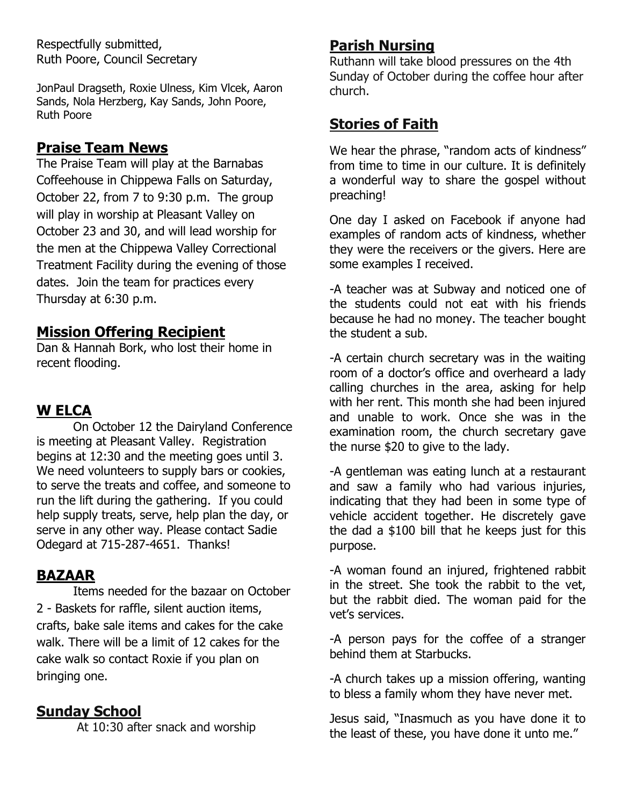Respectfully submitted, Ruth Poore, Council Secretary

JonPaul Dragseth, Roxie Ulness, Kim Vlcek, Aaron Sands, Nola Herzberg, Kay Sands, John Poore, Ruth Poore

# **Praise Team News**

The Praise Team will play at the Barnabas Coffeehouse in Chippewa Falls on Saturday, October 22, from 7 to 9:30 p.m. The group will play in worship at Pleasant Valley on October 23 and 30, and will lead worship for the men at the Chippewa Valley Correctional Treatment Facility during the evening of those dates. Join the team for practices every Thursday at 6:30 p.m.

## **Mission Offering Recipient**

Dan & Hannah Bork, who lost their home in recent flooding.

# **W ELCA**

On October 12 the Dairyland Conference is meeting at Pleasant Valley. Registration begins at 12:30 and the meeting goes until 3. We need volunteers to supply bars or cookies, to serve the treats and coffee, and someone to run the lift during the gathering. If you could help supply treats, serve, help plan the day, or serve in any other way. Please contact Sadie Odegard at 715-287-4651. Thanks!

# **BAZAAR**

Items needed for the bazaar on October 2 - Baskets for raffle, silent auction items, crafts, bake sale items and cakes for the cake walk. There will be a limit of 12 cakes for the cake walk so contact Roxie if you plan on bringing one.

# **Sunday School**

At 10:30 after snack and worship

# **Parish Nursing**

Ruthann will take blood pressures on the 4th Sunday of October during the coffee hour after church.

# **Stories of Faith**

We hear the phrase, "random acts of kindness" from time to time in our culture. It is definitely a wonderful way to share the gospel without preaching!

One day I asked on Facebook if anyone had examples of random acts of kindness, whether they were the receivers or the givers. Here are some examples I received.

-A teacher was at Subway and noticed one of the students could not eat with his friends because he had no money. The teacher bought the student a sub.

-A certain church secretary was in the waiting room of a doctor's office and overheard a lady calling churches in the area, asking for help with her rent. This month she had been injured and unable to work. Once she was in the examination room, the church secretary gave the nurse \$20 to give to the lady.

-A gentleman was eating lunch at a restaurant and saw a family who had various injuries, indicating that they had been in some type of vehicle accident together. He discretely gave the dad a \$100 bill that he keeps just for this purpose.

-A woman found an injured, frightened rabbit in the street. She took the rabbit to the vet, but the rabbit died. The woman paid for the vet's services.

-A person pays for the coffee of a stranger behind them at Starbucks.

-A church takes up a mission offering, wanting to bless a family whom they have never met.

Jesus said, "Inasmuch as you have done it to the least of these, you have done it unto me."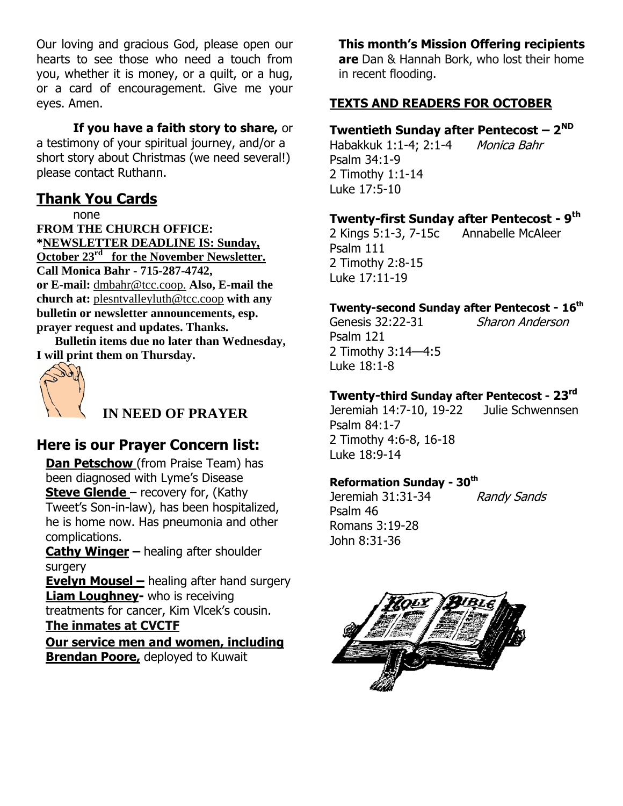Our loving and gracious God, please open our hearts to see those who need a touch from you, whether it is money, or a quilt, or a hug, or a card of encouragement. Give me your eyes. Amen.

**If you have a faith story to share,** or a testimony of your spiritual journey, and/or a short story about Christmas (we need several!) please contact Ruthann.

# **Thank You Cards**

none **FROM THE CHURCH OFFICE: \*NEWSLETTER DEADLINE IS: Sunday, October 23rd for the November Newsletter. Call Monica Bahr - 715-287-4742, or E-mail:** dmbahr@tcc.coop. **Also, E-mail the church at:** plesntvalleyluth@tcc.coop **with any bulletin or newsletter announcements, esp. prayer request and updates. Thanks.**

 **Bulletin items due no later than Wednesday, I will print them on Thursday.** 



# **IN NEED OF PRAYER**

# **Here is our Prayer Concern list:**

**Dan Petschow** (from Praise Team) has been diagnosed with Lyme's Disease **Steve Glende** – recovery for, (Kathy Tweet's Son-in-law), has been hospitalized, he is home now. Has pneumonia and other complications.

**Cathy Winger –** healing after shoulder surgery

**Evelyn Mousel –** healing after hand surgery **Liam Loughney-** who is receiving treatments for cancer, Kim Vlcek's cousin.

**The inmates at CVCTF** 

**Our service men and women, including Brendan Poore,** deployed to Kuwait

**This month's Mission Offering recipients** 

**are** Dan & Hannah Bork, who lost their home in recent flooding.

#### **TEXTS AND READERS FOR OCTOBER**

### **Twentieth Sunday after Pentecost – 2 ND**

Habakkuk 1:1-4; 2:1-4 Monica Bahr Psalm 34:1-9 2 Timothy 1:1-14 Luke 17:5-10

#### **Twenty-first Sunday after Pentecost - 9 th**

2 Kings 5:1-3, 7-15c Annabelle McAleer Psalm 111 2 Timothy 2:8-15 Luke 17:11-19

#### **Twenty-second Sunday after Pentecost - 16th**

Genesis 32:22-31 Sharon Anderson Psalm 121 2 Timothy 3:14—4:5 Luke 18:1-8

#### **Twenty-third Sunday after Pentecost - 23 rd**

Jeremiah 14:7-10, 19-22 Julie Schwennsen Psalm 84:1-7 2 Timothy 4:6-8, 16-18 Luke 18:9-14

#### **Reformation Sunday - 30th**

Jeremiah 31:31-34 Randy Sands Psalm 46 Romans 3:19-28 John 8:31-36